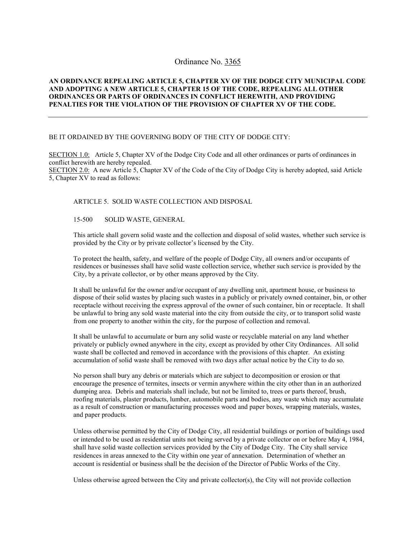# Ordinance No. 3365

## **AN ORDINANCE REPEALING ARTICLE 5, CHAPTER XV OF THE DODGE CITY MUNICIPAL CODE AND ADOPTING A NEW ARTICLE 5, CHAPTER 15 OF THE CODE, REPEALING ALL OTHER ORDINANCES OR PARTS OF ORDINANCES IN CONFLICT HEREWITH, AND PROVIDING PENALTIES FOR THE VIOLATION OF THE PROVISION OF CHAPTER XV OF THE CODE.**

## BE IT ORDAINED BY THE GOVERNING BODY OF THE CITY OF DODGE CITY:

SECTION 1.0: Article 5, Chapter XV of the Dodge City Code and all other ordinances or parts of ordinances in conflict herewith are hereby repealed.

SECTION 2.0: A new Article 5, Chapter XV of the Code of the City of Dodge City is hereby adopted, said Article 5, Chapter XV to read as follows:

#### ARTICLE 5. SOLID WASTE COLLECTION AND DISPOSAL

## 15-500 SOLID WASTE, GENERAL

This article shall govern solid waste and the collection and disposal of solid wastes, whether such service is provided by the City or by private collector's licensed by the City.

To protect the health, safety, and welfare of the people of Dodge City, all owners and/or occupants of residences or businesses shall have solid waste collection service, whether such service is provided by the City, by a private collector, or by other means approved by the City.

It shall be unlawful for the owner and/or occupant of any dwelling unit, apartment house, or business to dispose of their solid wastes by placing such wastes in a publicly or privately owned container, bin, or other receptacle without receiving the express approval of the owner of such container, bin or receptacle. It shall be unlawful to bring any sold waste material into the city from outside the city, or to transport solid waste from one property to another within the city, for the purpose of collection and removal.

It shall be unlawful to accumulate or burn any solid waste or recyclable material on any land whether privately or publicly owned anywhere in the city, except as provided by other City Ordinances. All solid waste shall be collected and removed in accordance with the provisions of this chapter. An existing accumulation of solid waste shall be removed with two days after actual notice by the City to do so.

No person shall bury any debris or materials which are subject to decomposition or erosion or that encourage the presence of termites, insects or vermin anywhere within the city other than in an authorized dumping area. Debris and materials shall include, but not be limited to, trees or parts thereof, brush, roofing materials, plaster products, lumber, automobile parts and bodies, any waste which may accumulate as a result of construction or manufacturing processes wood and paper boxes, wrapping materials, wastes, and paper products.

Unless otherwise permitted by the City of Dodge City, all residential buildings or portion of buildings used or intended to be used as residential units not being served by a private collector on or before May 4, 1984, shall have solid waste collection services provided by the City of Dodge City. The City shall service residences in areas annexed to the City within one year of annexation. Determination of whether an account is residential or business shall be the decision of the Director of Public Works of the City.

Unless otherwise agreed between the City and private collector(s), the City will not provide collection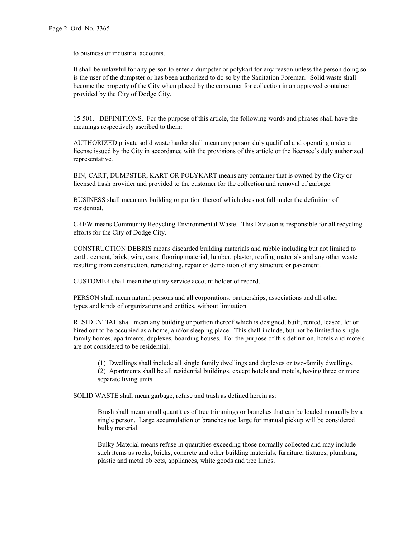to business or industrial accounts.

It shall be unlawful for any person to enter a dumpster or polykart for any reason unless the person doing so is the user of the dumpster or has been authorized to do so by the Sanitation Foreman. Solid waste shall become the property of the City when placed by the consumer for collection in an approved container provided by the City of Dodge City.

15-501. DEFINITIONS. For the purpose of this article, the following words and phrases shall have the meanings respectively ascribed to them:

AUTHORIZED private solid waste hauler shall mean any person duly qualified and operating under a license issued by the City in accordance with the provisions of this article or the licensee's duly authorized representative.

BIN, CART, DUMPSTER, KART OR POLYKART means any container that is owned by the City or licensed trash provider and provided to the customer for the collection and removal of garbage.

BUSINESS shall mean any building or portion thereof which does not fall under the definition of residential.

CREW means Community Recycling Environmental Waste. This Division is responsible for all recycling efforts for the City of Dodge City.

CONSTRUCTION DEBRIS means discarded building materials and rubble including but not limited to earth, cement, brick, wire, cans, flooring material, lumber, plaster, roofing materials and any other waste resulting from construction, remodeling, repair or demolition of any structure or pavement.

CUSTOMER shall mean the utility service account holder of record.

PERSON shall mean natural persons and all corporations, partnerships, associations and all other types and kinds of organizations and entities, without limitation.

RESIDENTIAL shall mean any building or portion thereof which is designed, built, rented, leased, let or hired out to be occupied as a home, and/or sleeping place. This shall include, but not be limited to singlefamily homes, apartments, duplexes, boarding houses. For the purpose of this definition, hotels and motels are not considered to be residential.

(1) Dwellings shall include all single family dwellings and duplexes or two-family dwellings. (2) Apartments shall be all residential buildings, except hotels and motels, having three or more separate living units.

SOLID WASTE shall mean garbage, refuse and trash as defined herein as:

Brush shall mean small quantities of tree trimmings or branches that can be loaded manually by a single person. Large accumulation or branches too large for manual pickup will be considered bulky material.

Bulky Material means refuse in quantities exceeding those normally collected and may include such items as rocks, bricks, concrete and other building materials, furniture, fixtures, plumbing, plastic and metal objects, appliances, white goods and tree limbs.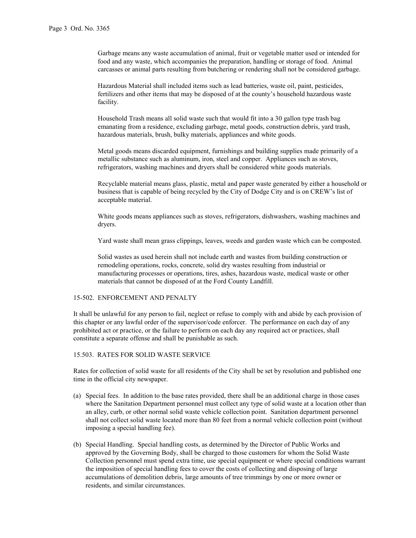Garbage means any waste accumulation of animal, fruit or vegetable matter used or intended for food and any waste, which accompanies the preparation, handling or storage of food. Animal carcasses or animal parts resulting from butchering or rendering shall not be considered garbage.

Hazardous Material shall included items such as lead batteries, waste oil, paint, pesticides, fertilizers and other items that may be disposed of at the county's household hazardous waste facility.

Household Trash means all solid waste such that would fit into a 30 gallon type trash bag emanating from a residence, excluding garbage, metal goods, construction debris, yard trash, hazardous materials, brush, bulky materials, appliances and white goods.

Metal goods means discarded equipment, furnishings and building supplies made primarily of a metallic substance such as aluminum, iron, steel and copper. Appliances such as stoves, refrigerators, washing machines and dryers shall be considered white goods materials.

Recyclable material means glass, plastic, metal and paper waste generated by either a household or business that is capable of being recycled by the City of Dodge City and is on CREW's list of acceptable material.

White goods means appliances such as stoves, refrigerators, dishwashers, washing machines and dryers.

Yard waste shall mean grass clippings, leaves, weeds and garden waste which can be composted.

Solid wastes as used herein shall not include earth and wastes from building construction or remodeling operations, rocks, concrete, solid dry wastes resulting from industrial or manufacturing processes or operations, tires, ashes, hazardous waste, medical waste or other materials that cannot be disposed of at the Ford County Landfill.

#### 15-502. ENFORCEMENT AND PENALTY

It shall be unlawful for any person to fail, neglect or refuse to comply with and abide by each provision of this chapter or any lawful order of the supervisor/code enforcer. The performance on each day of any prohibited act or practice, or the failure to perform on each day any required act or practices, shall constitute a separate offense and shall be punishable as such.

#### 15.503. RATES FOR SOLID WASTE SERVICE

Rates for collection of solid waste for all residents of the City shall be set by resolution and published one time in the official city newspaper.

- (a) Special fees. In addition to the base rates provided, there shall be an additional charge in those cases where the Sanitation Department personnel must collect any type of solid waste at a location other than an alley, curb, or other normal solid waste vehicle collection point. Sanitation department personnel shall not collect solid waste located more than 80 feet from a normal vehicle collection point (without imposing a special handling fee).
- (b) Special Handling. Special handling costs, as determined by the Director of Public Works and approved by the Governing Body, shall be charged to those customers for whom the Solid Waste Collection personnel must spend extra time, use special equipment or where special conditions warrant the imposition of special handling fees to cover the costs of collecting and disposing of large accumulations of demolition debris, large amounts of tree trimmings by one or more owner or residents, and similar circumstances.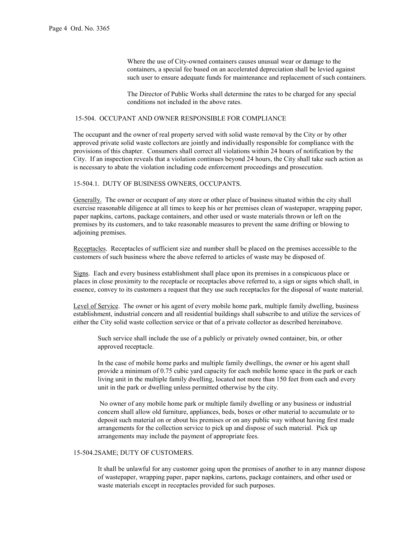Where the use of City-owned containers causes unusual wear or damage to the containers, a special fee based on an accelerated depreciation shall be levied against such user to ensure adequate funds for maintenance and replacement of such containers.

The Director of Public Works shall determine the rates to be charged for any special conditions not included in the above rates.

#### 15-504. OCCUPANT AND OWNER RESPONSIBLE FOR COMPLIANCE

The occupant and the owner of real property served with solid waste removal by the City or by other approved private solid waste collectors are jointly and individually responsible for compliance with the provisions of this chapter. Consumers shall correct all violations within 24 hours of notification by the City. If an inspection reveals that a violation continues beyond 24 hours, the City shall take such action as is necessary to abate the violation including code enforcement proceedings and prosecution.

## 15-504.1. DUTY OF BUSINESS OWNERS, OCCUPANTS.

Generally. The owner or occupant of any store or other place of business situated within the city shall exercise reasonable diligence at all times to keep his or her premises clean of wastepaper, wrapping paper, paper napkins, cartons, package containers, and other used or waste materials thrown or left on the premises by its customers, and to take reasonable measures to prevent the same drifting or blowing to adjoining premises.

Receptacles. Receptacles of sufficient size and number shall be placed on the premises accessible to the customers of such business where the above referred to articles of waste may be disposed of.

Signs. Each and every business establishment shall place upon its premises in a conspicuous place or places in close proximity to the receptacle or receptacles above referred to, a sign or signs which shall, in essence, convey to its customers a request that they use such receptacles for the disposal of waste material.

Level of Service. The owner or his agent of every mobile home park, multiple family dwelling, business establishment, industrial concern and all residential buildings shall subscribe to and utilize the services of either the City solid waste collection service or that of a private collector as described hereinabove.

Such service shall include the use of a publicly or privately owned container, bin, or other approved receptacle.

In the case of mobile home parks and multiple family dwellings, the owner or his agent shall provide a minimum of 0.75 cubic yard capacity for each mobile home space in the park or each living unit in the multiple family dwelling, located not more than 150 feet from each and every unit in the park or dwelling unless permitted otherwise by the city.

 No owner of any mobile home park or multiple family dwelling or any business or industrial concern shall allow old furniture, appliances, beds, boxes or other material to accumulate or to deposit such material on or about his premises or on any public way without having first made arrangements for the collection service to pick up and dispose of such material. Pick up arrangements may include the payment of appropriate fees.

## 15-504.2SAME; DUTY OF CUSTOMERS.

It shall be unlawful for any customer going upon the premises of another to in any manner dispose of wastepaper, wrapping paper, paper napkins, cartons, package containers, and other used or waste materials except in receptacles provided for such purposes.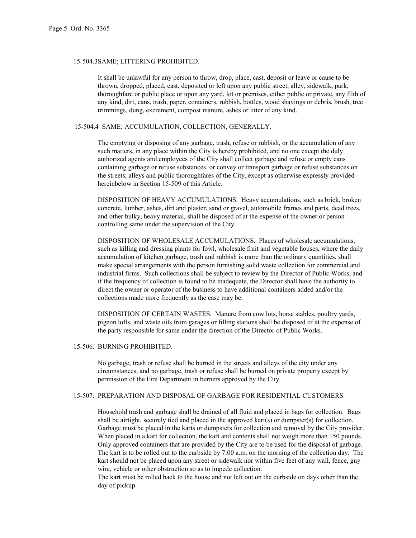#### 15-504.3SAME; LITTERING PROHIBITED.

It shall be unlawful for any person to throw, drop, place, cast, deposit or leave or cause to be thrown, dropped, placed, cast, deposited or left upon any public street, alley, sidewalk, park, thoroughfare or public place or upon any yard, lot or premises, either public or private, any filth of any kind, dirt, cans, trash, paper, containers, rubbish, bottles, wood shavings or debris, brush, tree trimmings, dung, excrement, compost manure, ashes or litter of any kind.

## 15-504.4 SAME; ACCUMULATION, COLLECTION, GENERALLY.

The emptying or disposing of any garbage, trash, refuse or rubbish, or the accumulation of any such matters, in any place within the City is hereby prohibited, and no one except the duly authorized agents and employees of the City shall collect garbage and refuse or empty cans containing garbage or refuse substances, or convey or transport garbage or refuse substances on the streets, alleys and public thoroughfares of the City, except as otherwise expressly provided hereinbelow in Section 15-509 of this Article.

DISPOSITION OF HEAVY ACCUMULATIONS. Heavy accumulations, such as brick, broken concrete, lumber, ashes, dirt and plaster, sand or gravel, automobile frames and parts, dead trees, and other bulky, heavy material, shall be disposed of at the expense of the owner or person controlling same under the supervision of the City.

DISPOSITION OF WHOLESALE ACCUMULATIONS. Places of wholesale accumulations, such as killing and dressing plants for fowl, wholesale fruit and vegetable houses, where the daily accumulation of kitchen garbage, trash and rubbish is more than the ordinary quantities, shall make special arrangements with the person furnishing solid waste collection for commercial and industrial firms. Such collections shall be subject to review by the Director of Public Works, and if the frequency of collection is found to be inadequate, the Director shall have the authority to direct the owner or operator of the business to have additional containers added and/or the collections made more frequently as the case may be.

DISPOSITION OF CERTAIN WASTES. Manure from cow lots, horse stables, poultry yards, pigeon lofts, and waste oils from garages or filling stations shall be disposed of at the expense of the party responsible for same under the direction of the Director of Public Works.

#### 15-506. BURNING PROHIBITED.

No garbage, trash or refuse shall be burned in the streets and alleys of the city under any circumstances, and no garbage, trash or refuse shall be burned on private property except by permission of the Fire Department in burners approved by the City.

## 15-507. PREPARATION AND DISPOSAL OF GARBAGE FOR RESIDENTIAL CUSTOMERS

Household trash and garbage shall be drained of all fluid and placed in bags for collection. Bags shall be airtight, securely tied and placed in the approved kart(s) or dumpster(s) for collection. Garbage must be placed in the karts or dumpsters for collection and removal by the City provider. When placed in a kart for collection, the kart and contents shall not weigh more than 150 pounds. Only approved containers that are provided by the City are to be used for the disposal of garbage. The kart is to be rolled out to the curbside by 7:00 a.m. on the morning of the collection day. The kart should not be placed upon any street or sidewalk nor within five feet of any wall, fence, guy wire, vehicle or other obstruction so as to impede collection.

The kart must be rolled back to the house and not left out on the curbside on days other than the day of pickup.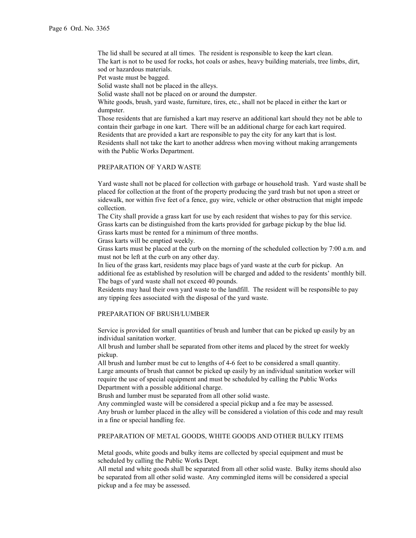The lid shall be secured at all times. The resident is responsible to keep the kart clean. The kart is not to be used for rocks, hot coals or ashes, heavy building materials, tree limbs, dirt, sod or hazardous materials.

Pet waste must be bagged.

Solid waste shall not be placed in the alleys.

Solid waste shall not be placed on or around the dumpster.

White goods, brush, yard waste, furniture, tires, etc., shall not be placed in either the kart or dumpster.

Those residents that are furnished a kart may reserve an additional kart should they not be able to contain their garbage in one kart. There will be an additional charge for each kart required. Residents that are provided a kart are responsible to pay the city for any kart that is lost. Residents shall not take the kart to another address when moving without making arrangements with the Public Works Department.

## PREPARATION OF YARD WASTE

Yard waste shall not be placed for collection with garbage or household trash. Yard waste shall be placed for collection at the front of the property producing the yard trash but not upon a street or sidewalk, nor within five feet of a fence, guy wire, vehicle or other obstruction that might impede collection.

The City shall provide a grass kart for use by each resident that wishes to pay for this service. Grass karts can be distinguished from the karts provided for garbage pickup by the blue lid. Grass karts must be rented for a minimum of three months.

Grass karts will be emptied weekly.

Grass karts must be placed at the curb on the morning of the scheduled collection by 7:00 a.m. and must not be left at the curb on any other day.

In lieu of the grass kart, residents may place bags of yard waste at the curb for pickup. An additional fee as established by resolution will be charged and added to the residents' monthly bill. The bags of yard waste shall not exceed 40 pounds.

Residents may haul their own yard waste to the landfill. The resident will be responsible to pay any tipping fees associated with the disposal of the yard waste.

## PREPARATION OF BRUSH/LUMBER

Service is provided for small quantities of brush and lumber that can be picked up easily by an individual sanitation worker.

All brush and lumber shall be separated from other items and placed by the street for weekly pickup.

All brush and lumber must be cut to lengths of 4-6 feet to be considered a small quantity. Large amounts of brush that cannot be picked up easily by an individual sanitation worker will require the use of special equipment and must be scheduled by calling the Public Works Department with a possible additional charge.

Brush and lumber must be separated from all other solid waste.

Any commingled waste will be considered a special pickup and a fee may be assessed. Any brush or lumber placed in the alley will be considered a violation of this code and may result in a fine or special handling fee.

## PREPARATION OF METAL GOODS, WHITE GOODS AND OTHER BULKY ITEMS

Metal goods, white goods and bulky items are collected by special equipment and must be scheduled by calling the Public Works Dept.

All metal and white goods shall be separated from all other solid waste. Bulky items should also be separated from all other solid waste. Any commingled items will be considered a special pickup and a fee may be assessed.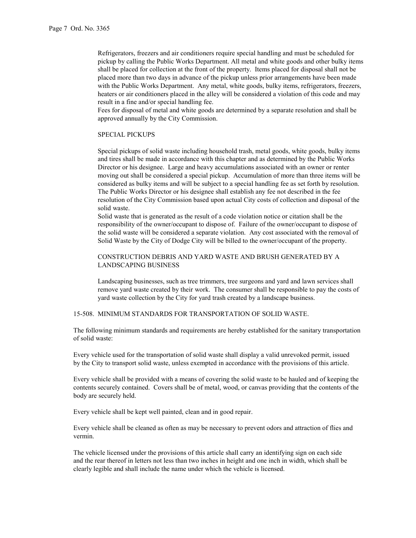Refrigerators, freezers and air conditioners require special handling and must be scheduled for pickup by calling the Public Works Department. All metal and white goods and other bulky items shall be placed for collection at the front of the property. Items placed for disposal shall not be placed more than two days in advance of the pickup unless prior arrangements have been made with the Public Works Department. Any metal, white goods, bulky items, refrigerators, freezers, heaters or air conditioners placed in the alley will be considered a violation of this code and may result in a fine and/or special handling fee.

Fees for disposal of metal and white goods are determined by a separate resolution and shall be approved annually by the City Commission.

## SPECIAL PICKUPS

Special pickups of solid waste including household trash, metal goods, white goods, bulky items and tires shall be made in accordance with this chapter and as determined by the Public Works Director or his designee. Large and heavy accumulations associated with an owner or renter moving out shall be considered a special pickup. Accumulation of more than three items will be considered as bulky items and will be subject to a special handling fee as set forth by resolution. The Public Works Director or his designee shall establish any fee not described in the fee resolution of the City Commission based upon actual City costs of collection and disposal of the solid waste.

Solid waste that is generated as the result of a code violation notice or citation shall be the responsibility of the owner/occupant to dispose of. Failure of the owner/occupant to dispose of the solid waste will be considered a separate violation. Any cost associated with the removal of Solid Waste by the City of Dodge City will be billed to the owner/occupant of the property.

## CONSTRUCTION DEBRIS AND YARD WASTE AND BRUSH GENERATED BY A LANDSCAPING BUSINESS

Landscaping businesses, such as tree trimmers, tree surgeons and yard and lawn services shall remove yard waste created by their work. The consumer shall be responsible to pay the costs of yard waste collection by the City for yard trash created by a landscape business.

15-508. MINIMUM STANDARDS FOR TRANSPORTATION OF SOLID WASTE.

The following minimum standards and requirements are hereby established for the sanitary transportation of solid waste:

Every vehicle used for the transportation of solid waste shall display a valid unrevoked permit, issued by the City to transport solid waste, unless exempted in accordance with the provisions of this article.

Every vehicle shall be provided with a means of covering the solid waste to be hauled and of keeping the contents securely contained. Covers shall be of metal, wood, or canvas providing that the contents of the body are securely held.

Every vehicle shall be kept well painted, clean and in good repair.

Every vehicle shall be cleaned as often as may be necessary to prevent odors and attraction of flies and vermin.

The vehicle licensed under the provisions of this article shall carry an identifying sign on each side and the rear thereof in letters not less than two inches in height and one inch in width, which shall be clearly legible and shall include the name under which the vehicle is licensed.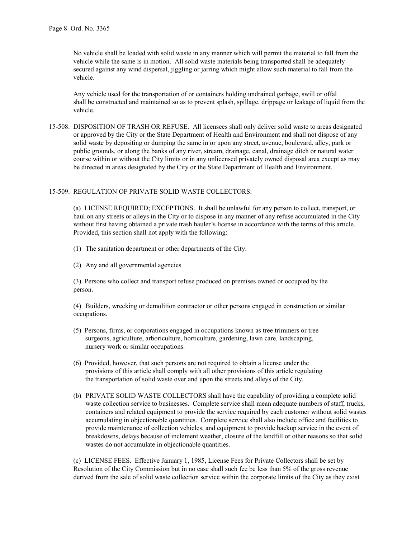No vehicle shall be loaded with solid waste in any manner which will permit the material to fall from the vehicle while the same is in motion. All solid waste materials being transported shall be adequately secured against any wind dispersal, jiggling or jarring which might allow such material to fall from the vehicle.

Any vehicle used for the transportation of or containers holding undrained garbage, swill or offal shall be constructed and maintained so as to prevent splash, spillage, drippage or leakage of liquid from the vehicle.

15-508. DISPOSITION OF TRASH OR REFUSE. All licensees shall only deliver solid waste to areas designated or approved by the City or the State Department of Health and Environment and shall not dispose of any solid waste by depositing or dumping the same in or upon any street, avenue, boulevard, alley, park or public grounds, or along the banks of any river, stream, drainage, canal, drainage ditch or natural water course within or without the City limits or in any unlicensed privately owned disposal area except as may be directed in areas designated by the City or the State Department of Health and Environment.

# 15-509. REGULATION OF PRIVATE SOLID WASTE COLLECTORS:

(a) LICENSE REQUIRED; EXCEPTIONS. It shall be unlawful for any person to collect, transport, or haul on any streets or alleys in the City or to dispose in any manner of any refuse accumulated in the City without first having obtained a private trash hauler's license in accordance with the terms of this article. Provided, this section shall not apply with the following:

- (1) The sanitation department or other departments of the City.
- (2) Any and all governmental agencies

(3) Persons who collect and transport refuse produced on premises owned or occupied by the person.

(4) Builders, wrecking or demolition contractor or other persons engaged in construction or similar occupations.

- (5) Persons, firms, or corporations engaged in occupations known as tree trimmers or tree surgeons, agriculture, arboriculture, horticulture, gardening, lawn care, landscaping, nursery work or similar occupations.
- (6) Provided, however, that such persons are not required to obtain a license under the provisions of this article shall comply with all other provisions of this article regulating the transportation of solid waste over and upon the streets and alleys of the City.
- (b) PRIVATE SOLID WASTE COLLECTORS shall have the capability of providing a complete solid waste collection service to businesses. Complete service shall mean adequate numbers of staff, trucks, containers and related equipment to provide the service required by each customer without solid wastes accumulating in objectionable quantities. Complete service shall also include office and facilities to provide maintenance of collection vehicles, and equipment to provide backup service in the event of breakdowns, delays because of inclement weather, closure of the landfill or other reasons so that solid wastes do not accumulate in objectionable quantities.

(c) LICENSE FEES. Effective January 1, 1985, License Fees for Private Collectors shall be set by Resolution of the City Commission but in no case shall such fee be less than 5% of the gross revenue derived from the sale of solid waste collection service within the corporate limits of the City as they exist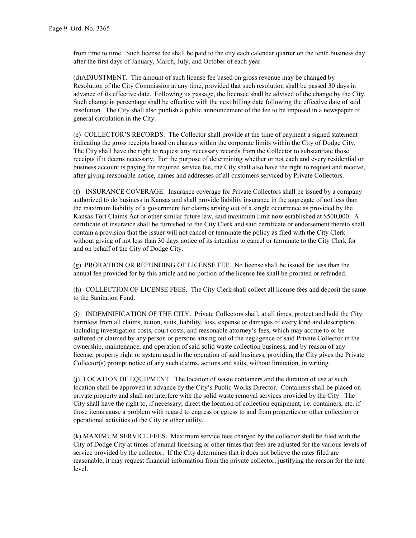from time to time. Such license fee shall be paid to the city each calendar quarter on the tenth business day after the first days of January, March, July, and October of each year.

(d)ADJUSTMENT. The amount of such license fee based on gross revenue may be changed by Resolution of the City Commission at any time, provided that such resolution shall be passed 30 days in advance of its effective date. Following its passage, the licensee shall be advised of the change by the City. Such change in percentage shall be effective with the next billing date following the effective date of said resolution. The City shall also publish a public announcement of the fee to be imposed in a newspaper of general circulation in the City.

(e) COLLECTOR'S RECORDS. The Collector shall provide at the time of payment a signed statement indicating the gross receipts based on charges within the corporate limits within the City of Dodge City. The City shall have the right to request any necessary records from the Collector to substantiate those receipts if it deems necessary. For the purpose of determining whether or not each and every residential or business account is paying the required service fee, the City shall also have the right to request and receive, after giving reasonable notice, names and addresses of all customers serviced by Private Collectors.

(f) INSURANCE COVERAGE. Insurance coverage for Private Collectors shall be issued by a company authorized to do business in Kansas and shall provide liability insurance in the aggregate of not less than the maximum liability of a government for claims arising out of a single occurrence as provided by the Kansas Tort Claims Act or other similar future law, said maximum limit now established at \$500,000. A certificate of insurance shall be furnished to the City Clerk and said certificate or endorsement thereto shall contain a provision that the issuer will not cancel or terminate the policy as filed with the City Clerk without giving of not less than 30 days notice of its intention to cancel or terminate to the City Clerk for and on behalf of the City of Dodge City.

(g) PRORATION OR REFUNDING OF LICENSE FEE. No license shall be issued for less than the annual fee provided for by this article and no portion of the license fee shall be prorated or refunded.

(h) COLLECTION OF LICENSE FEES. The City Clerk shall collect all license fees and deposit the same to the Sanitation Fund.

(i) INDEMNIFICATION OF THE CITY. Private Collectors shall, at all times, protect and hold the City harmless from all claims, action, suits, liability, loss, expense or damages of every kind and description, including investigation costs, court costs, and reasonable attorney's fees, which may accrue to or be suffered or claimed by any person or persons arising out of the negligence of said Private Collector in the ownership, maintenance, and operation of said solid waste collection business, and by reason of any license, property right or system used in the operation of said business, providing the City gives the Private Collector(s) prompt notice of any such claims, actions and suits, without limitation, in writing.

(j) LOCATION OF EQUIPMENT. The location of waste containers and the duration of use at such location shall be approved in advance by the City's Public Works Director. Containers shall be placed on private property and shall not interfere with the solid waste removal services provided by the City. The City shall have the right to, if necessary, direct the location of collection equipment, i.e. containers, etc. if those items cause a problem with regard to engress or egress to and from properties or other collection or operational activities of the City or other utility.

(k) MAXIMUM SERVICE FEES. Maximum service fees charged by the collector shall be filed with the City of Dodge City at times of annual licensing or other times that fees are adjusted for the various levels of service provided by the collector. If the City determines that it does not believe the rates filed are reasonable, it may request financial information from the private collector, justifying the reason for the rate level.